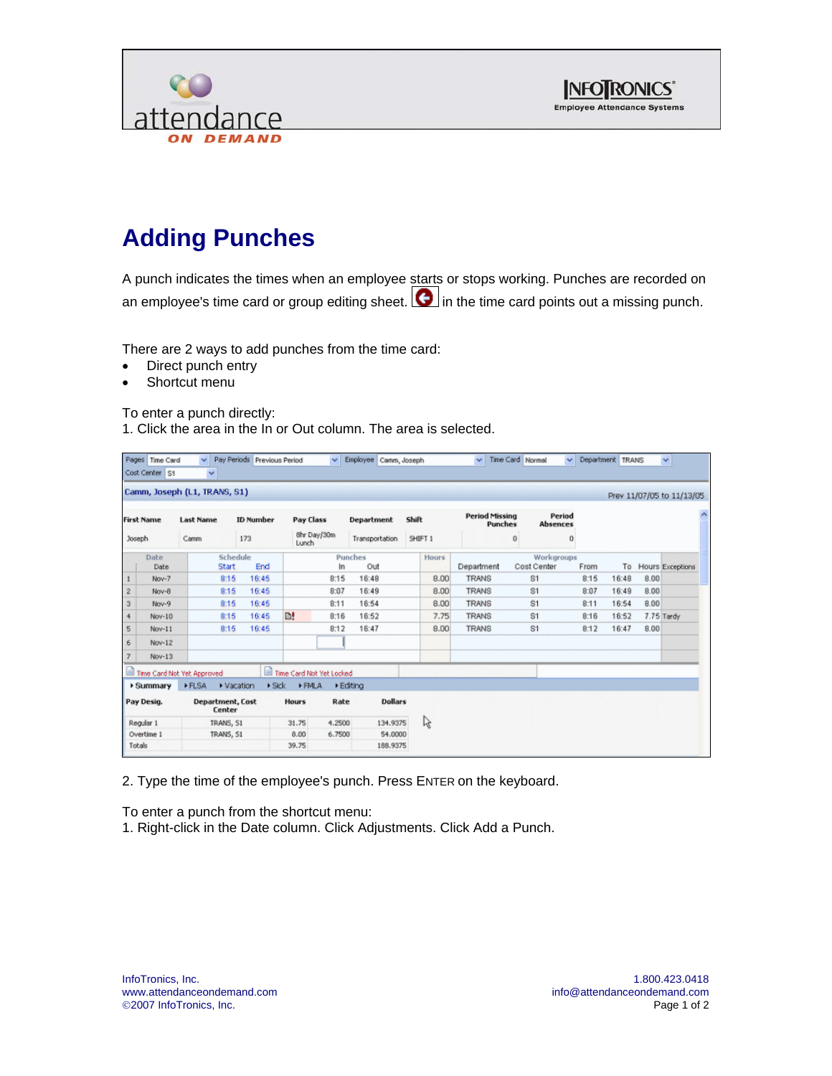



## **Adding Punches**

A punch indicates the times when an employee starts or stops working. Punches are recorded on an employee's time card or group editing sheet.  $\bigcirc$  in the time card points out a missing punch.

There are 2 ways to add punches from the time card:

- Direct punch entry
- Shortcut menu

To enter a punch directly:

1. Click the area in the In or Out column. The area is selected.

|                           | Pages Time Card<br>Cost Center S1 | v<br>$\mathbf{v}$                    | Pay Periods Previous Period |                                       |             | $\vee$ Employee Camm, Joseph |         |              | $\checkmark$                     | Time Card Normal          | $\vee$ | Department TRANS |      | $\checkmark$              |
|---------------------------|-----------------------------------|--------------------------------------|-----------------------------|---------------------------------------|-------------|------------------------------|---------|--------------|----------------------------------|---------------------------|--------|------------------|------|---------------------------|
|                           |                                   | Camm, Joseph (L1, TRANS, S1)         |                             |                                       |             |                              |         |              |                                  |                           |        |                  |      | Prev 11/07/05 to 11/13/05 |
| <b>First Name</b>         |                                   | <b>ID Number</b><br><b>Last Name</b> |                             | Pay Class                             |             | Department                   | Shift   |              | <b>Period Missing</b><br>Punches | Period<br><b>Absences</b> |        |                  |      |                           |
|                           | <b>Joseph</b>                     | Camm                                 | 173                         | Lunch                                 | 8hr Day/30m | Transportation               | SHIFT 1 |              |                                  | $\mathbf{0}$              | o      |                  |      |                           |
|                           | Date<br>Date                      |                                      | Schedule<br>End<br>Start    |                                       | In          | Punches<br>Out               |         | <b>Hours</b> | Department                       | Workgroups<br>Cost Center | From   | To               |      | Hours Exceptions          |
| $\mathbf{1}$              | Nov-7                             |                                      | 16:45<br>8:15               |                                       | 8:15        | 16:48                        |         | 8.00         | <b><i>TRANS</i></b>              | 81                        | 8:15   | 16:48            | 8.00 |                           |
| $\sqrt{2}$                | Nov-8                             |                                      | 16:45<br>8:15               |                                       | 8:07        | 16:49                        |         | 8.00         | <b>TRANS</b>                     | S <sub>1</sub>            | 8:07   | 16:49            | 8.00 |                           |
| $\ensuremath{\mathsf{3}}$ | Nov-9                             |                                      | 16:45<br>8:15               |                                       | 8:11        | 16:54                        |         | 8.00         | <b>TRANS</b>                     | S1                        | 8:11   | 16:54            | 8.00 |                           |
| 4                         | Nov-10                            |                                      | 8:15<br>16:45               | B!                                    | 8:16        | 16:52                        |         | 7.75         | <b>TRANS</b>                     | S <sub>1</sub>            | 8:16   | 16:52            |      | 7.75 Tardy                |
| 5                         | Nov-11                            |                                      | 16:45<br>8:15               |                                       | B:12        | 16:47                        |         | 8.00         | <b>TRANS</b>                     | S <sub>1</sub>            | B:12   | 16:47            | B.00 |                           |
| 6                         | Nov-12                            |                                      |                             |                                       |             |                              |         |              |                                  |                           |        |                  |      |                           |
| $\overline{\mathfrak{c}}$ | Nov-13                            |                                      |                             |                                       |             |                              |         |              |                                  |                           |        |                  |      |                           |
|                           |                                   | Time Card Not Yet Approved           |                             | Time Card Not Yet Locked              |             |                              |         |              |                                  |                           |        |                  |      |                           |
|                           | ▶ Summary                         | <b>&gt;FLSA</b>                      | Vacation                    | $\triangleright$ Sick<br><b>FPALA</b> | + Editina   |                              |         |              |                                  |                           |        |                  |      |                           |
|                           | Pay Desig.                        | <b>Center</b>                        | <b>Department</b> , Cost    | <b>Hours</b>                          | Rate        | <b>Dollars</b>               |         |              |                                  |                           |        |                  |      |                           |
|                           | Regular 1                         | TRANS, S1                            |                             | 31.75                                 | 4.2500      | 134.9375                     |         | $\mathbb{Z}$ |                                  |                           |        |                  |      |                           |
|                           | Overtime 1                        | TRANS, S1                            |                             | 8.00                                  | 6.7500      | 54,0000                      |         |              |                                  |                           |        |                  |      |                           |
|                           | Totals                            |                                      |                             | 39.75                                 |             | 188.9375                     |         |              |                                  |                           |        |                  |      |                           |

2. Type the time of the employee's punch. Press ENTER on the keyboard.

To enter a punch from the shortcut menu:

1. Right-click in the Date column. Click Adjustments. Click Add a Punch.